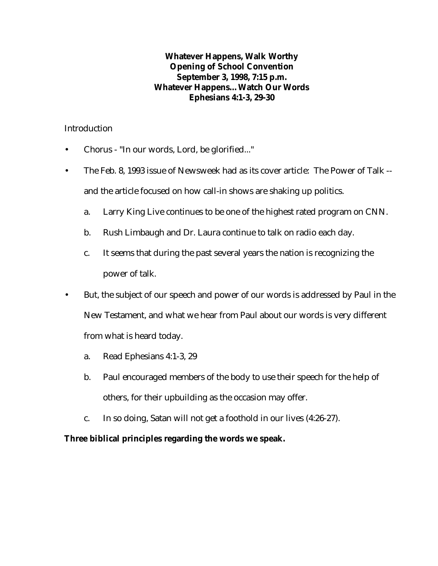#### **Whatever Happens, Walk Worthy Opening of School Convention September 3, 1998, 7:15 p.m. Whatever Happens…Watch Our Words Ephesians 4:1-3, 29-30**

#### **Introduction**

- Chorus "In our words, Lord, be glorified..."
- The Feb. 8, 1993 issue of Newsweek had as its cover article: The Power of Talk and the article focused on how call-in shows are shaking up politics.
	- a. Larry King Live continues to be one of the highest rated program on CNN.
	- b. Rush Limbaugh and Dr. Laura continue to talk on radio each day.
	- c. It seems that during the past several years the nation is recognizing the power of talk.
- But, the subject of our speech and power of our words is addressed by Paul in the New Testament, and what we hear from Paul about our words is very different from what is heard today.
	- a. Read Ephesians 4:1-3, 29
	- b. Paul encouraged members of the body to use their speech for the help of others, for their upbuilding as the occasion may offer.
	- c. In so doing, Satan will not get a foothold in our lives (4:26-27).

## **Three biblical principles regarding the words we speak.**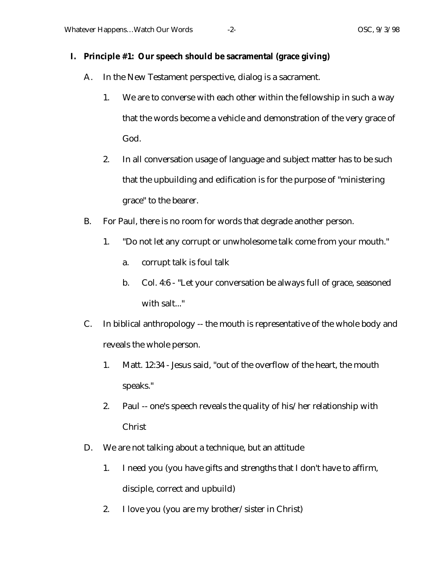#### **I. Principle #1: Our speech should be sacramental (grace giving)**

- A. In the New Testament perspective, dialog is a sacrament.
	- 1. We are to converse with each other within the fellowship in such a way that the words become a vehicle and demonstration of the very grace of God.
	- 2. In all conversation usage of language and subject matter has to be such that the upbuilding and edification is for the purpose of "ministering grace" to the bearer.
- B. For Paul, there is no room for words that degrade another person.
	- 1. "Do not let any corrupt or unwholesome talk come from your mouth."
		- a. corrupt talk is foul talk
		- b. Col. 4:6 "Let your conversation be always full of grace, seasoned with salt..."
- C. In biblical anthropology -- the mouth is representative of the whole body and reveals the whole person.
	- 1. Matt. 12:34 Jesus said, "out of the overflow of the heart, the mouth speaks."
	- 2. Paul -- one's speech reveals the quality of his/her relationship with Christ
- D. We are not talking about a technique, but an attitude
	- 1. I need you (you have gifts and strengths that I don't have to affirm, disciple, correct and upbuild)
	- 2. I love you (you are my brother/sister in Christ)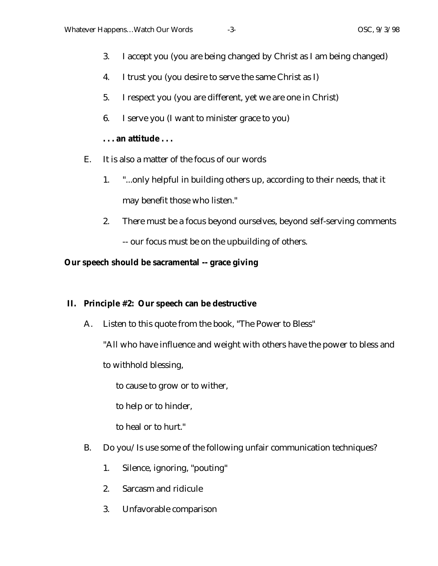- 3. I accept you (you are being changed by Christ as I am being changed)
- 4. I trust you (you desire to serve the same Christ as I)
- 5. I respect you (you are different, yet we are one in Christ)
- 6. I serve you (I want to minister grace to you)

## **. . . an attitude . . .**

- E. It is also a matter of the focus of our words
	- 1. "...only helpful in building others up, according to their needs, that it may benefit those who listen."
	- 2. There must be a focus beyond ourselves, beyond self-serving comments

-- our focus must be on the upbuilding of others.

## **Our speech should be sacramental -- grace giving**

## **II. Principle #2: Our speech can be destructive**

A. Listen to this quote from the book, "The Power to Bless"

"All who have influence and weight with others have the power to bless and

to withhold blessing,

to cause to grow or to wither,

to help or to hinder,

to heal or to hurt."

- B. Do you/Is use some of the following unfair communication techniques?
	- 1. Silence, ignoring, "pouting"
	- 2. Sarcasm and ridicule
	- 3. Unfavorable comparison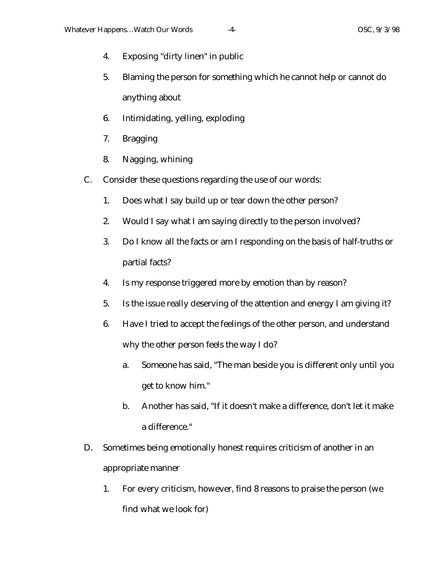- 4. Exposing "dirty linen" in public
- 5. Blaming the person for something which he cannot help or cannot do anything about
- 6. Intimidating, yelling, exploding
- 7. Bragging
- 8. Nagging, whining
- C. Consider these questions regarding the use of our words:
	- 1. Does what I say build up or tear down the other person?
	- 2. Would I say what I am saying directly to the person involved?
	- 3. Do I know all the facts or am I responding on the basis of half-truths or partial facts?
	- 4. Is my response triggered more by emotion than by reason?
	- 5. Is the issue really deserving of the attention and energy I am giving it?
	- 6. Have I tried to accept the feelings of the other person, and understand why the other person feels the way I do?
		- a. Someone has said, "The man beside you is different only until you get to know him."
		- b. Another has said, "If it doesn't make a difference, don't let it make a difference."
- D. Sometimes being emotionally honest requires criticism of another in an appropriate manner
	- 1. For every criticism, however, find 8 reasons to praise the person (we find what we look for)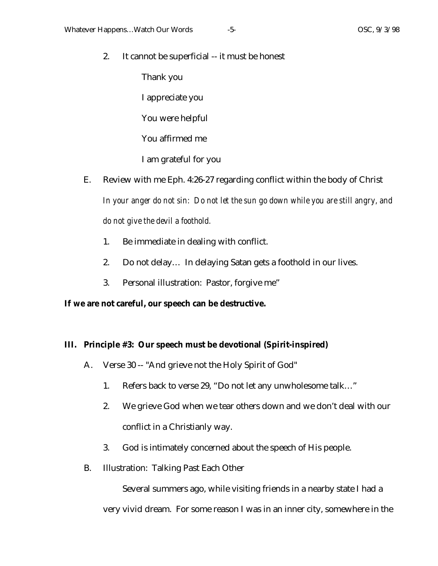2. It cannot be superficial -- it must be honest

Thank you

I appreciate you

You were helpful

You affirmed me

I am grateful for you

E. Review with me Eph. 4:26-27 regarding conflict within the body of Christ

*In your anger do not sin: Do not let the sun go down while you are still angry, and do not give the devil a foothold.*

- 1. Be immediate in dealing with conflict.
- 2. Do not delay… In delaying Satan gets a foothold in our lives.
- 3. Personal illustration: Pastor, forgive me"

# **If we are not careful, our speech can be destructive.**

# **III. Principle #3: Our speech must be devotional (Spirit-inspired)**

- A. Verse 30 -- "And grieve not the Holy Spirit of God"
	- 1. Refers back to verse 29, "Do not let any unwholesome talk…"
	- 2. We grieve God when we tear others down and we don't deal with our conflict in a Christianly way.
	- 3. God is intimately concerned about the speech of His people.
- B. Illustration: Talking Past Each Other

Several summers ago, while visiting friends in a nearby state I had a very vivid dream. For some reason I was in an inner city, somewhere in the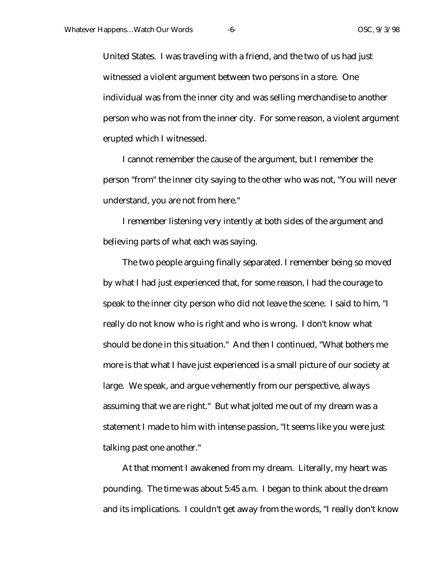United States. I was traveling with a friend, and the two of us had just witnessed a violent argument between two persons in a store. One individual was from the inner city and was selling merchandise to another person who was not from the inner city. For some reason, a violent argument erupted which I witnessed.

I cannot remember the cause of the argument, but I remember the person "from" the inner city saying to the other who was not, "You will never understand, you are not from here."

I remember listening very intently at both sides of the argument and believing parts of what each was saying.

The two people arguing finally separated. I remember being so moved by what I had just experienced that, for some reason, I had the courage to speak to the inner city person who did not leave the scene. I said to him, "I really do not know who is right and who is wrong. I don't know what should be done in this situation." And then I continued, "What bothers me more is that what I have just experienced is a small picture of our society at large. We speak, and argue vehemently from our perspective, always assuming that we are right." But what jolted me out of my dream was a statement I made to him with intense passion, "It seems like you were just talking past one another."

At that moment I awakened from my dream. Literally, my heart was pounding. The time was about 5:45 a.m. I began to think about the dream and its implications. I couldn't get away from the words, "I really don't know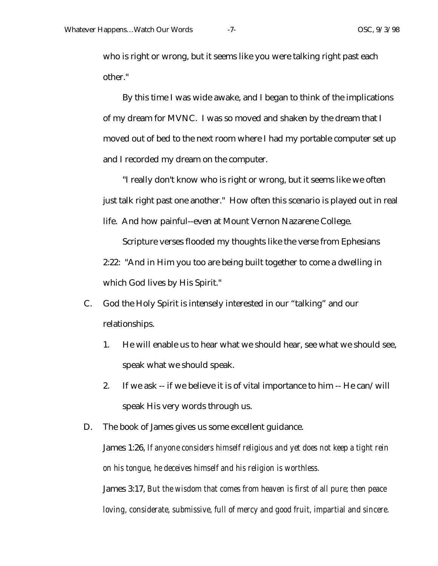who is right or wrong, but it seems like you were talking right past each other."

By this time I was wide awake, and I began to think of the implications of my dream for MVNC. I was so moved and shaken by the dream that I moved out of bed to the next room where I had my portable computer set up and I recorded my dream on the computer.

"I really don't know who is right or wrong, but it seems like we often just talk right past one another." How often this scenario is played out in real life. And how painful--even at Mount Vernon Nazarene College.

Scripture verses flooded my thoughts like the verse from Ephesians 2:22: "And in Him you too are being built together to come a dwelling in which God lives by His Spirit."

- C. God the Holy Spirit is intensely interested in our "talking" and our relationships.
	- 1. He will enable us to hear what we should hear, see what we should see, speak what we should speak.
	- 2. If we ask -- if we believe it is of vital importance to him -- He can/will speak His very words through us.
- D. The book of James gives us some excellent guidance.

James 1:26, *If anyone considers himself religious and yet does not keep a tight rein on his tongue, he deceives himself and his religion is worthless.*

James 3:17, *But the wisdom that comes from heaven is first of all pure; then peace loving, considerate, submissive, full of mercy and good fruit, impartial and sincere.*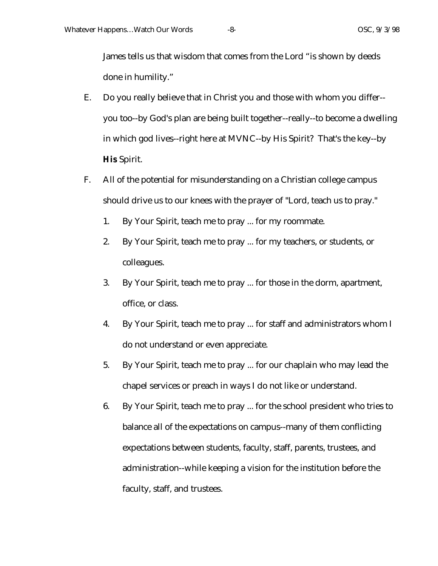James tells us that wisdom that comes from the Lord "is shown by deeds done in humility."

- E. Do you really believe that in Christ you and those with whom you differ- you too--by God's plan are being built together--really--to become a dwelling in which god lives--right here at MVNC--by His Spirit? That's the key--by **His** Spirit.
- F. All of the potential for misunderstanding on a Christian college campus should drive us to our knees with the prayer of "Lord, teach us to pray."
	- 1. By Your Spirit, teach me to pray ... for my roommate.
	- 2. By Your Spirit, teach me to pray ... for my teachers, or students, or colleagues.
	- 3. By Your Spirit, teach me to pray ... for those in the dorm, apartment, office, or class.
	- 4. By Your Spirit, teach me to pray ... for staff and administrators whom I do not understand or even appreciate.
	- 5. By Your Spirit, teach me to pray ... for our chaplain who may lead the chapel services or preach in ways I do not like or understand.
	- 6. By Your Spirit, teach me to pray ... for the school president who tries to balance all of the expectations on campus--many of them conflicting expectations between students, faculty, staff, parents, trustees, and administration--while keeping a vision for the institution before the faculty, staff, and trustees.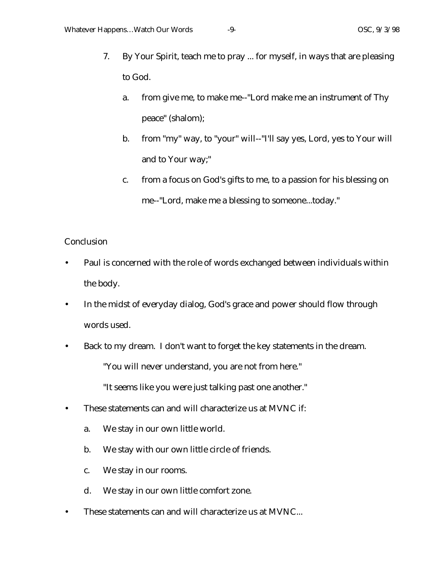- 7. By Your Spirit, teach me to pray ... for myself, in ways that are pleasing to God.
	- a. from give me, to make me--"Lord make me an instrument of Thy peace" (shalom);
	- b. from "my" way, to "your" will--"I'll say yes, Lord, yes to Your will and to Your way;"
	- c. from a focus on God's gifts to me, to a passion for his blessing on me--"Lord, make me a blessing to someone...today."

## **Conclusion**

- Paul is concerned with the role of words exchanged between individuals within the body.
- In the midst of everyday dialog, God's grace and power should flow through words used.
- Back to my dream. I don't want to forget the key statements in the dream.

"You will never understand, you are not from here."

"It seems like you were just talking past one another."

- These statements can and will characterize us at MVNC if:
	- a. We stay in our own little world.
	- b. We stay with our own little circle of friends.
	- c. We stay in our rooms.
	- d. We stay in our own little comfort zone.
- These statements can and will characterize us at MVNC...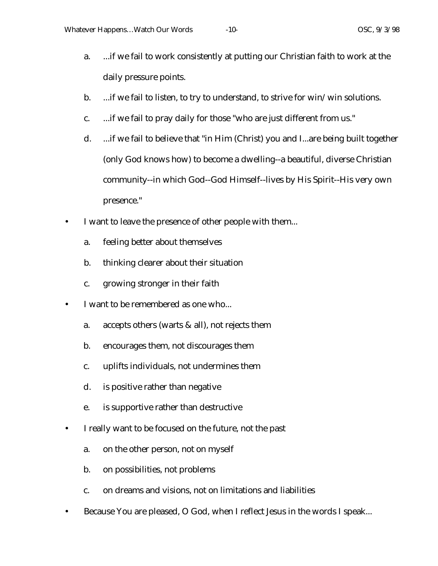- a. ...if we fail to work consistently at putting our Christian faith to work at the daily pressure points.
- b. ...if we fail to listen, to try to understand, to strive for win/win solutions.
- c. ...if we fail to pray daily for those "who are just different from us."
- d. ...if we fail to believe that "in Him (Christ) you and I...are being built together (only God knows how) to become a dwelling--a beautiful, diverse Christian community--in which God--God Himself--lives by His Spirit--His very own presence."
- I want to leave the presence of other people with them...
	- a. feeling better about themselves
	- b. thinking clearer about their situation
	- c. growing stronger in their faith
- I want to be remembered as one who...
	- a. accepts others (warts & all), not rejects them
	- b. encourages them, not discourages them
	- c. uplifts individuals, not undermines them
	- d. is positive rather than negative
	- e. is supportive rather than destructive
- I really want to be focused on the future, not the past
	- a. on the other person, not on myself
	- b. on possibilities, not problems
	- c. on dreams and visions, not on limitations and liabilities
- Because You are pleased, O God, when I reflect Jesus in the words I speak...